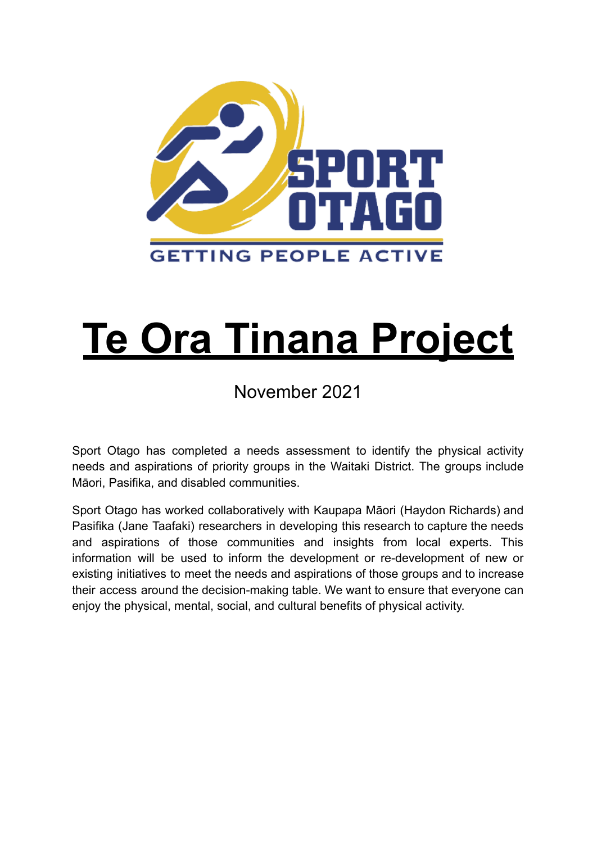

# **Te Ora Tinana Project**

# November 2021

Sport Otago has completed a needs assessment to identify the physical activity needs and aspirations of priority groups in the Waitaki District. The groups include Māori, Pasifika, and disabled communities.

Sport Otago has worked collaboratively with Kaupapa Māori (Haydon Richards) and Pasifika (Jane Taafaki) researchers in developing this research to capture the needs and aspirations of those communities and insights from local experts. This information will be used to inform the development or re-development of new or existing initiatives to meet the needs and aspirations of those groups and to increase their access around the decision-making table. We want to ensure that everyone can enjoy the physical, mental, social, and cultural benefits of physical activity.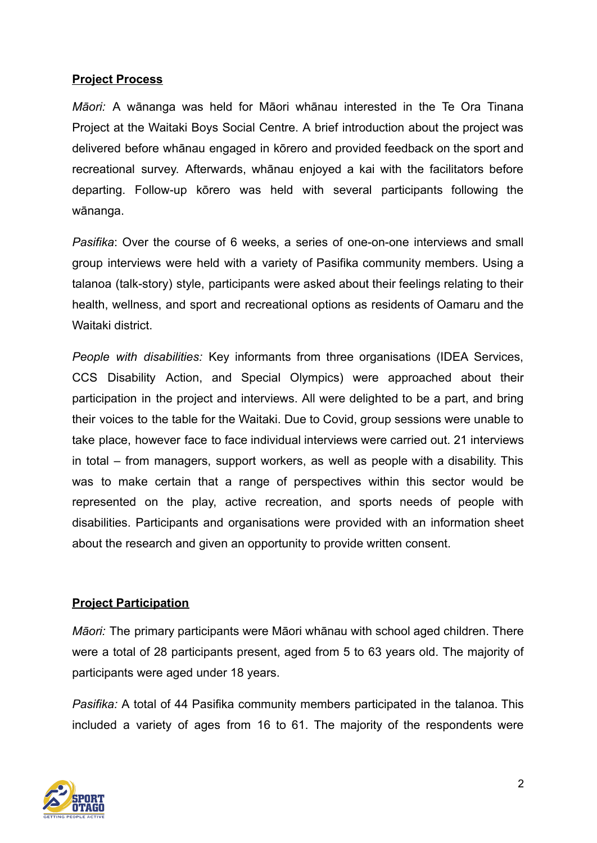### **Project Process**

*Māori:* A wānanga was held for Māori whānau interested in the Te Ora Tinana Project at the Waitaki Boys Social Centre. A brief introduction about the project was delivered before whānau engaged in kōrero and provided feedback on the sport and recreational survey. Afterwards, whānau enjoyed a kai with the facilitators before departing. Follow-up kōrero was held with several participants following the wānanga.

*Pasifika*: Over the course of 6 weeks, a series of one-on-one interviews and small group interviews were held with a variety of Pasifika community members. Using a talanoa (talk-story) style, participants were asked about their feelings relating to their health, wellness, and sport and recreational options as residents of Oamaru and the Waitaki district.

*People with disabilities:* Key informants from three organisations (IDEA Services, CCS Disability Action, and Special Olympics) were approached about their participation in the project and interviews. All were delighted to be a part, and bring their voices to the table for the Waitaki. Due to Covid, group sessions were unable to take place, however face to face individual interviews were carried out. 21 interviews in total – from managers, support workers, as well as people with a disability. This was to make certain that a range of perspectives within this sector would be represented on the play, active recreation, and sports needs of people with disabilities. Participants and organisations were provided with an information sheet about the research and given an opportunity to provide written consent.

### **Project Participation**

*Māori:* The primary participants were Māori whānau with school aged children. There were a total of 28 participants present, aged from 5 to 63 years old. The majority of participants were aged under 18 years.

*Pasifika:* A total of 44 Pasifika community members participated in the talanoa. This included a variety of ages from 16 to 61. The majority of the respondents were

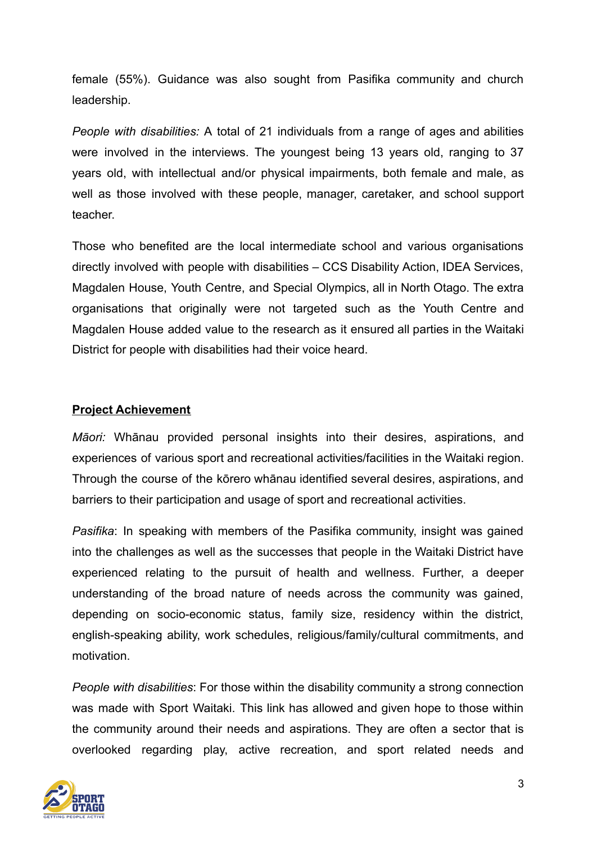female (55%). Guidance was also sought from Pasifika community and church leadership.

*People with disabilities:* A total of 21 individuals from a range of ages and abilities were involved in the interviews. The youngest being 13 years old, ranging to 37 years old, with intellectual and/or physical impairments, both female and male, as well as those involved with these people, manager, caretaker, and school support teacher.

Those who benefited are the local intermediate school and various organisations directly involved with people with disabilities – CCS Disability Action, IDEA Services, Magdalen House, Youth Centre, and Special Olympics, all in North Otago. The extra organisations that originally were not targeted such as the Youth Centre and Magdalen House added value to the research as it ensured all parties in the Waitaki District for people with disabilities had their voice heard.

#### **Project Achievement**

*Māori:* Whānau provided personal insights into their desires, aspirations, and experiences of various sport and recreational activities/facilities in the Waitaki region. Through the course of the kōrero whānau identified several desires, aspirations, and barriers to their participation and usage of sport and recreational activities.

*Pasifika*: In speaking with members of the Pasifika community, insight was gained into the challenges as well as the successes that people in the Waitaki District have experienced relating to the pursuit of health and wellness. Further, a deeper understanding of the broad nature of needs across the community was gained, depending on socio-economic status, family size, residency within the district, english-speaking ability, work schedules, religious/family/cultural commitments, and motivation.

*People with disabilities*: For those within the disability community a strong connection was made with Sport Waitaki. This link has allowed and given hope to those within the community around their needs and aspirations. They are often a sector that is overlooked regarding play, active recreation, and sport related needs and

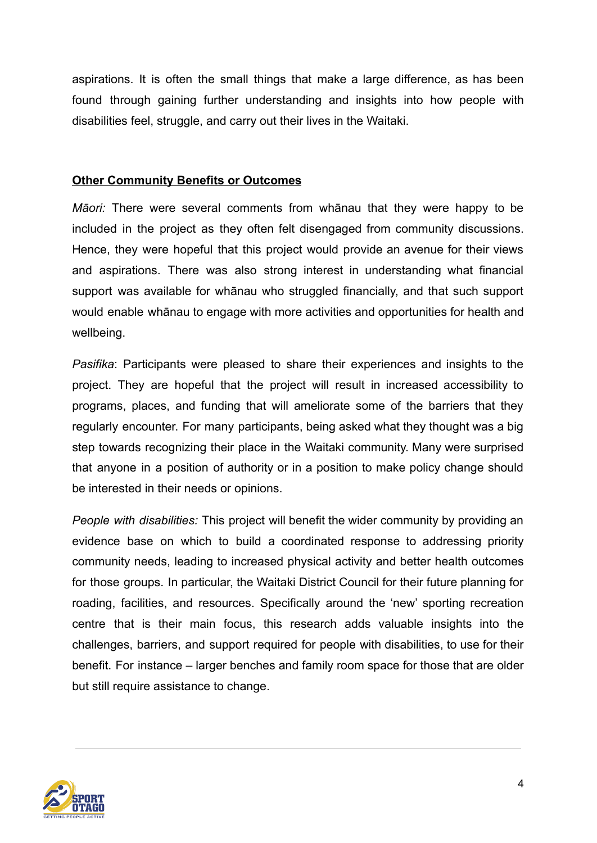aspirations. It is often the small things that make a large difference, as has been found through gaining further understanding and insights into how people with disabilities feel, struggle, and carry out their lives in the Waitaki.

#### **Other Community Benefits or Outcomes**

*Māori:* There were several comments from whānau that they were happy to be included in the project as they often felt disengaged from community discussions. Hence, they were hopeful that this project would provide an avenue for their views and aspirations. There was also strong interest in understanding what financial support was available for whānau who struggled financially, and that such support would enable whānau to engage with more activities and opportunities for health and wellbeing.

*Pasifika*: Participants were pleased to share their experiences and insights to the project. They are hopeful that the project will result in increased accessibility to programs, places, and funding that will ameliorate some of the barriers that they regularly encounter. For many participants, being asked what they thought was a big step towards recognizing their place in the Waitaki community. Many were surprised that anyone in a position of authority or in a position to make policy change should be interested in their needs or opinions.

*People with disabilities:* This project will benefit the wider community by providing an evidence base on which to build a coordinated response to addressing priority community needs, leading to increased physical activity and better health outcomes for those groups. In particular, the Waitaki District Council for their future planning for roading, facilities, and resources. Specifically around the 'new' sporting recreation centre that is their main focus, this research adds valuable insights into the challenges, barriers, and support required for people with disabilities, to use for their benefit. For instance – larger benches and family room space for those that are older but still require assistance to change.

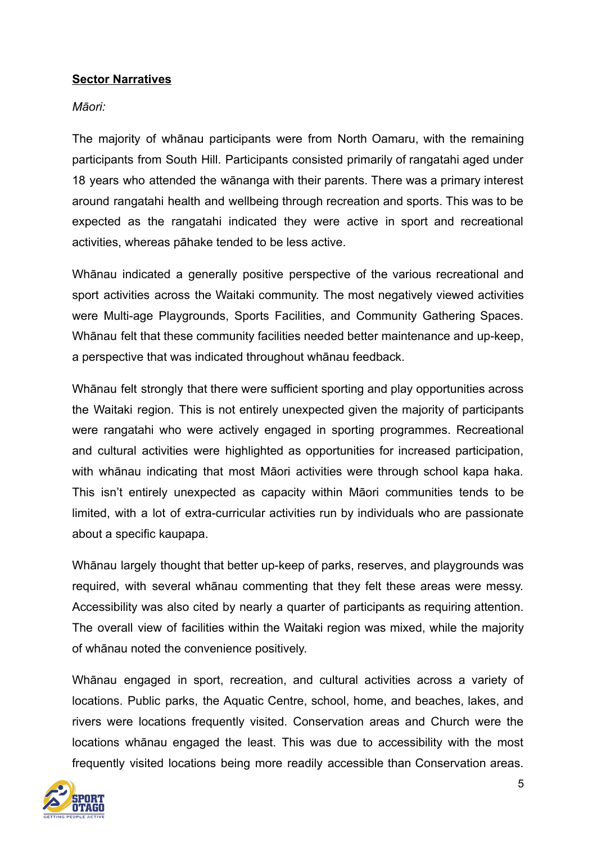# **Sector Narratives**

### *Māori:*

The majority of whānau participants were from North Oamaru, with the remaining participants from South Hill. Participants consisted primarily of rangatahi aged under 18 years who attended the wānanga with their parents. There was a primary interest around rangatahi health and wellbeing through recreation and sports. This was to be expected as the rangatahi indicated they were active in sport and recreational activities, whereas pāhake tended to be less active.

Whānau indicated a generally positive perspective of the various recreational and sport activities across the Waitaki community. The most negatively viewed activities were Multi-age Playgrounds, Sports Facilities, and Community Gathering Spaces. Whānau felt that these community facilities needed better maintenance and up-keep, a perspective that was indicated throughout whānau feedback.

Whānau felt strongly that there were sufficient sporting and play opportunities across the Waitaki region. This is not entirely unexpected given the majority of participants were rangatahi who were actively engaged in sporting programmes. Recreational and cultural activities were highlighted as opportunities for increased participation, with whānau indicating that most Māori activities were through school kapa haka. This isn't entirely unexpected as capacity within Māori communities tends to be limited, with a lot of extra-curricular activities run by individuals who are passionate about a specific kaupapa.

Whānau largely thought that better up-keep of parks, reserves, and playgrounds was required, with several whānau commenting that they felt these areas were messy. Accessibility was also cited by nearly a quarter of participants as requiring attention. The overall view of facilities within the Waitaki region was mixed, while the majority of whānau noted the convenience positively.

Whānau engaged in sport, recreation, and cultural activities across a variety of locations. Public parks, the Aquatic Centre, school, home, and beaches, lakes, and rivers were locations frequently visited. Conservation areas and Church were the locations whānau engaged the least. This was due to accessibility with the most frequently visited locations being more readily accessible than Conservation areas.

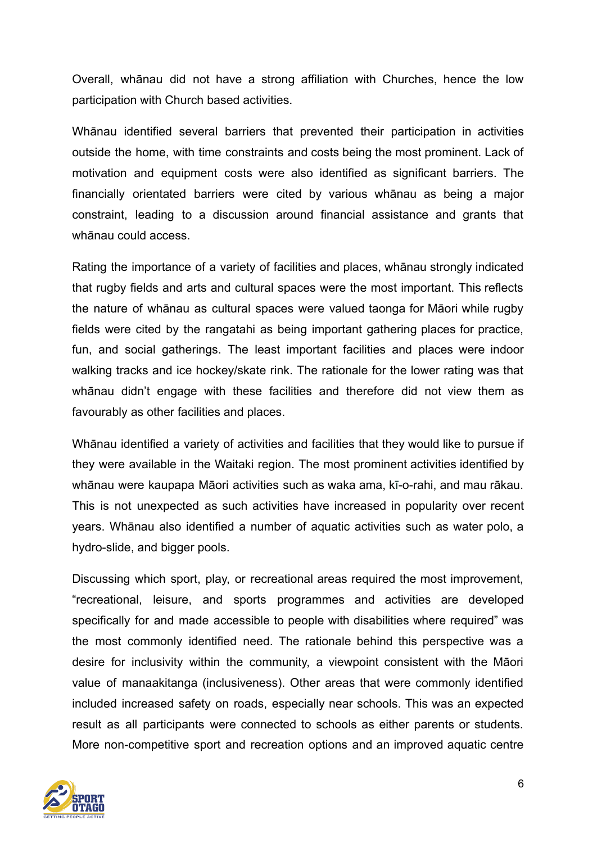Overall, whānau did not have a strong affiliation with Churches, hence the low participation with Church based activities.

Whānau identified several barriers that prevented their participation in activities outside the home, with time constraints and costs being the most prominent. Lack of motivation and equipment costs were also identified as significant barriers. The financially orientated barriers were cited by various whānau as being a major constraint, leading to a discussion around financial assistance and grants that whānau could access.

Rating the importance of a variety of facilities and places, whānau strongly indicated that rugby fields and arts and cultural spaces were the most important. This reflects the nature of whānau as cultural spaces were valued taonga for Māori while rugby fields were cited by the rangatahi as being important gathering places for practice, fun, and social gatherings. The least important facilities and places were indoor walking tracks and ice hockey/skate rink. The rationale for the lower rating was that whānau didn't engage with these facilities and therefore did not view them as favourably as other facilities and places.

Whānau identified a variety of activities and facilities that they would like to pursue if they were available in the Waitaki region. The most prominent activities identified by whānau were kaupapa Māori activities such as waka ama, kī-o-rahi, and mau rākau. This is not unexpected as such activities have increased in popularity over recent years. Whānau also identified a number of aquatic activities such as water polo, a hydro-slide, and bigger pools.

Discussing which sport, play, or recreational areas required the most improvement, "recreational, leisure, and sports programmes and activities are developed specifically for and made accessible to people with disabilities where required" was the most commonly identified need. The rationale behind this perspective was a desire for inclusivity within the community, a viewpoint consistent with the Māori value of manaakitanga (inclusiveness). Other areas that were commonly identified included increased safety on roads, especially near schools. This was an expected result as all participants were connected to schools as either parents or students. More non-competitive sport and recreation options and an improved aquatic centre

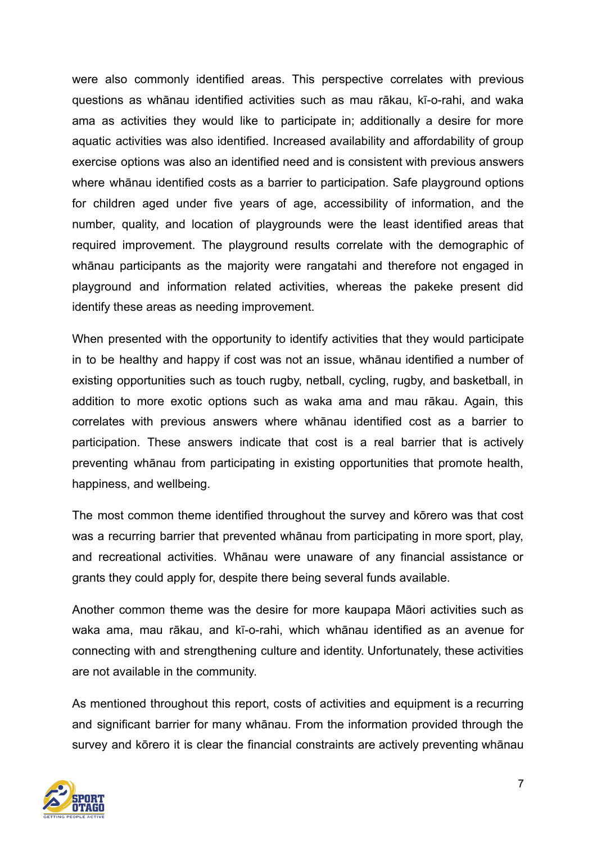were also commonly identified areas. This perspective correlates with previous questions as whānau identified activities such as mau rākau, kī-o-rahi, and waka ama as activities they would like to participate in; additionally a desire for more aquatic activities was also identified. Increased availability and affordability of group exercise options was also an identified need and is consistent with previous answers where whānau identified costs as a barrier to participation. Safe playground options for children aged under five years of age, accessibility of information, and the number, quality, and location of playgrounds were the least identified areas that required improvement. The playground results correlate with the demographic of whānau participants as the majority were rangatahi and therefore not engaged in playground and information related activities, whereas the pakeke present did identify these areas as needing improvement.

When presented with the opportunity to identify activities that they would participate in to be healthy and happy if cost was not an issue, whānau identified a number of existing opportunities such as touch rugby, netball, cycling, rugby, and basketball, in addition to more exotic options such as waka ama and mau rākau. Again, this correlates with previous answers where whānau identified cost as a barrier to participation. These answers indicate that cost is a real barrier that is actively preventing whānau from participating in existing opportunities that promote health, happiness, and wellbeing.

The most common theme identified throughout the survey and kōrero was that cost was a recurring barrier that prevented whānau from participating in more sport, play, and recreational activities. Whānau were unaware of any financial assistance or grants they could apply for, despite there being several funds available.

Another common theme was the desire for more kaupapa Māori activities such as waka ama, mau rākau, and kī-o-rahi, which whānau identified as an avenue for connecting with and strengthening culture and identity. Unfortunately, these activities are not available in the community.

As mentioned throughout this report, costs of activities and equipment is a recurring and significant barrier for many whānau. From the information provided through the survey and kōrero it is clear the financial constraints are actively preventing whānau

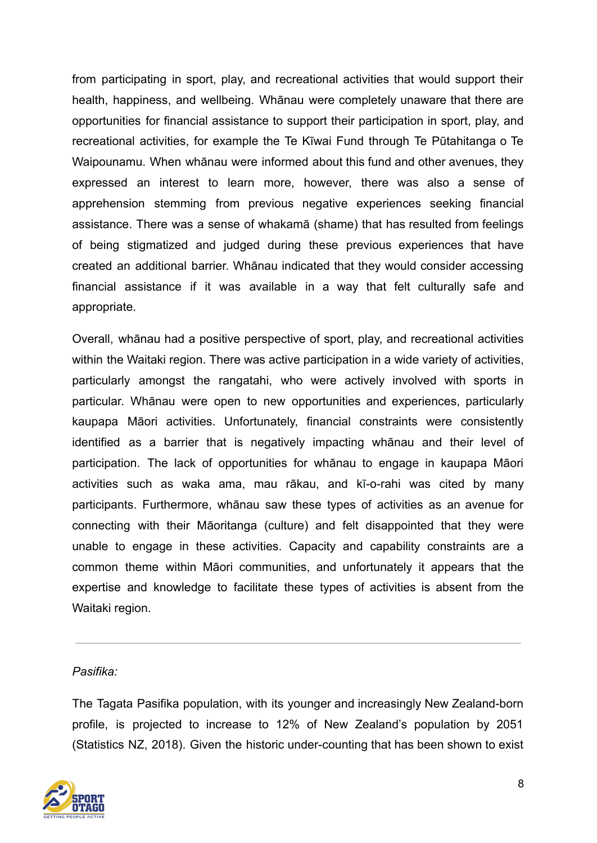from participating in sport, play, and recreational activities that would support their health, happiness, and wellbeing. Whānau were completely unaware that there are opportunities for financial assistance to support their participation in sport, play, and recreational activities, for example the Te Kīwai Fund through Te Pūtahitanga o Te Waipounamu. When whānau were informed about this fund and other avenues, they expressed an interest to learn more, however, there was also a sense of apprehension stemming from previous negative experiences seeking financial assistance. There was a sense of whakamā (shame) that has resulted from feelings of being stigmatized and judged during these previous experiences that have created an additional barrier. Whānau indicated that they would consider accessing financial assistance if it was available in a way that felt culturally safe and appropriate.

Overall, whānau had a positive perspective of sport, play, and recreational activities within the Waitaki region. There was active participation in a wide variety of activities, particularly amongst the rangatahi, who were actively involved with sports in particular. Whānau were open to new opportunities and experiences, particularly kaupapa Māori activities. Unfortunately, financial constraints were consistently identified as a barrier that is negatively impacting whānau and their level of participation. The lack of opportunities for whānau to engage in kaupapa Māori activities such as waka ama, mau rākau, and kī-o-rahi was cited by many participants. Furthermore, whānau saw these types of activities as an avenue for connecting with their Māoritanga (culture) and felt disappointed that they were unable to engage in these activities. Capacity and capability constraints are a common theme within Māori communities, and unfortunately it appears that the expertise and knowledge to facilitate these types of activities is absent from the Waitaki region.

#### *Pasifika:*

The Tagata Pasifika population, with its younger and increasingly New Zealand-born profile, is projected to increase to 12% of New Zealand's population by 2051 (Statistics NZ, 2018). Given the historic under-counting that has been shown to exist

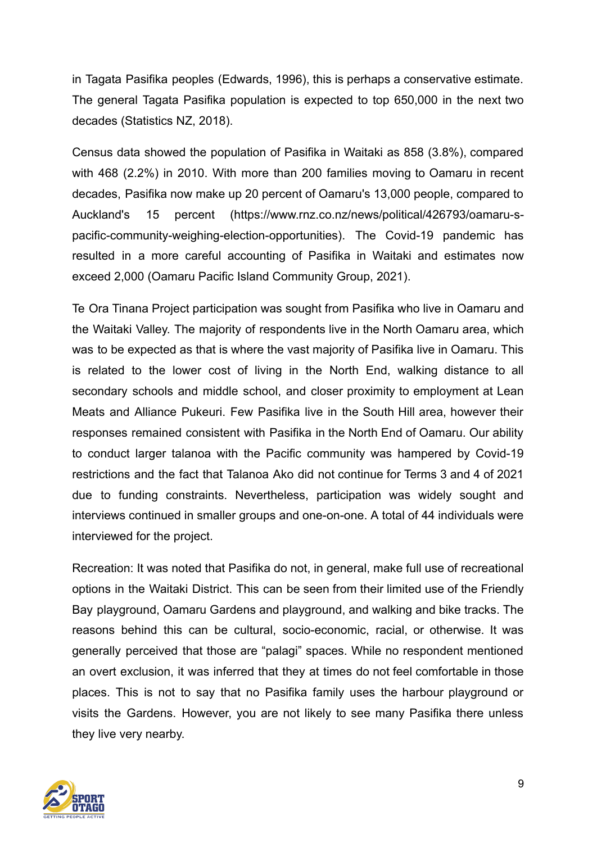in Tagata Pasifika peoples (Edwards, 1996), this is perhaps a conservative estimate. The general Tagata Pasifika population is expected to top 650,000 in the next two decades (Statistics NZ, 2018).

Census data showed the population of Pasifika in Waitaki as 858 (3.8%), compared with 468 (2.2%) in 2010. With more than 200 families moving to Oamaru in recent decades, Pasifika now make up 20 percent of Oamaru's 13,000 people, compared to Auckland's 15 percent ([https://www.rnz.co.nz/news/political/426793/oamaru-s](https://www.rnz.co.nz/news/political/426793/oamaru-s-)pacific-community-weighing-election-opportunities). The Covid-19 pandemic has resulted in a more careful accounting of Pasifika in Waitaki and estimates now exceed 2,000 (Oamaru Pacific Island Community Group, 2021).

Te Ora Tinana Project participation was sought from Pasifika who live in Oamaru and the Waitaki Valley. The majority of respondents live in the North Oamaru area, which was to be expected as that is where the vast majority of Pasifika live in Oamaru. This is related to the lower cost of living in the North End, walking distance to all secondary schools and middle school, and closer proximity to employment at Lean Meats and Alliance Pukeuri. Few Pasifika live in the South Hill area, however their responses remained consistent with Pasifika in the North End of Oamaru. Our ability to conduct larger talanoa with the Pacific community was hampered by Covid-19 restrictions and the fact that Talanoa Ako did not continue for Terms 3 and 4 of 2021 due to funding constraints. Nevertheless, participation was widely sought and interviews continued in smaller groups and one-on-one. A total of 44 individuals were interviewed for the project.

Recreation: It was noted that Pasifika do not, in general, make full use of recreational options in the Waitaki District. This can be seen from their limited use of the Friendly Bay playground, Oamaru Gardens and playground, and walking and bike tracks. The reasons behind this can be cultural, socio-economic, racial, or otherwise. It was generally perceived that those are "palagi" spaces. While no respondent mentioned an overt exclusion, it was inferred that they at times do not feel comfortable in those places. This is not to say that no Pasifika family uses the harbour playground or visits the Gardens. However, you are not likely to see many Pasifika there unless they live very nearby.

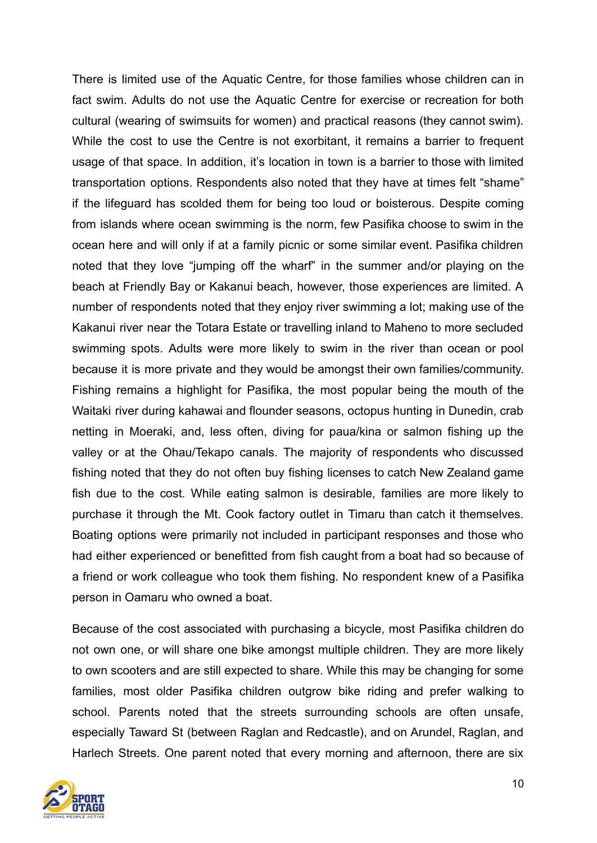There is limited use of the Aquatic Centre, for those families whose children can in fact swim. Adults do not use the Aquatic Centre for exercise or recreation for both cultural (wearing of swimsuits for women) and practical reasons (they cannot swim). While the cost to use the Centre is not exorbitant, it remains a barrier to frequent usage of that space. In addition, it's location in town is a barrier to those with limited transportation options. Respondents also noted that they have at times felt "shame" if the lifeguard has scolded them for being too loud or boisterous. Despite coming from islands where ocean swimming is the norm, few Pasifika choose to swim in the ocean here and will only if at a family picnic or some similar event. Pasifika children noted that they love "jumping off the wharf" in the summer and/or playing on the beach at Friendly Bay or Kakanui beach, however, those experiences are limited. A number of respondents noted that they enjoy river swimming a lot; making use of the Kakanui river near the Totara Estate or travelling inland to Maheno to more secluded swimming spots. Adults were more likely to swim in the river than ocean or pool because it is more private and they would be amongst their own families/community. Fishing remains a highlight for Pasifika, the most popular being the mouth of the Waitaki river during kahawai and flounder seasons, octopus hunting in Dunedin, crab netting in Moeraki, and, less often, diving for paua/kina or salmon fishing up the valley or at the Ohau/Tekapo canals. The majority of respondents who discussed fishing noted that they do not often buy fishing licenses to catch New Zealand game fish due to the cost. While eating salmon is desirable, families are more likely to purchase it through the Mt. Cook factory outlet in Timaru than catch it themselves. Boating options were primarily not included in participant responses and those who had either experienced or benefitted from fish caught from a boat had so because of a friend or work colleague who took them fishing. No respondent knew of a Pasifika person in Oamaru who owned a boat.

Because of the cost associated with purchasing a bicycle, most Pasifika children do not own one, or will share one bike amongst multiple children. They are more likely to own scooters and are still expected to share. While this may be changing for some families, most older Pasifika children outgrow bike riding and prefer walking to school. Parents noted that the streets surrounding schools are often unsafe, especially Taward St (between Raglan and Redcastle), and on Arundel, Raglan, and Harlech Streets. One parent noted that every morning and afternoon, there are six

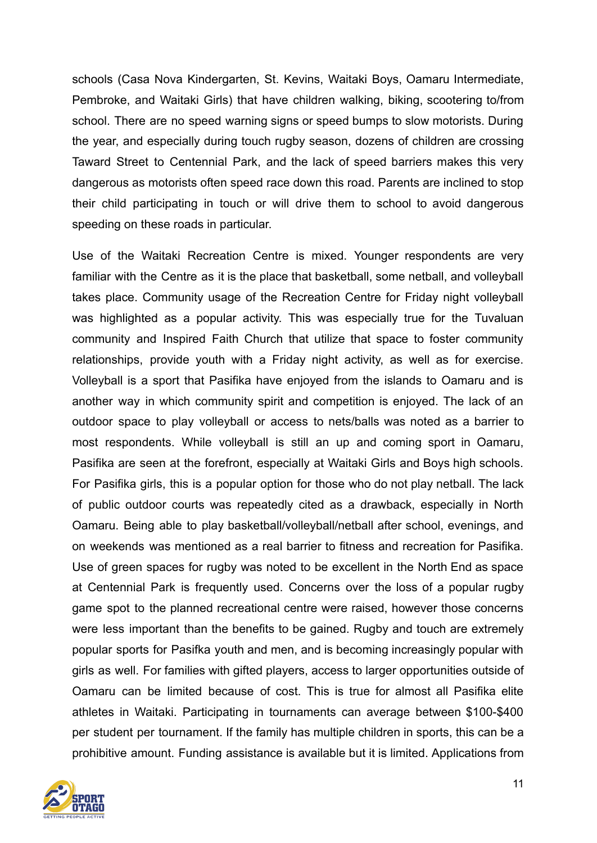schools (Casa Nova Kindergarten, St. Kevins, Waitaki Boys, Oamaru Intermediate, Pembroke, and Waitaki Girls) that have children walking, biking, scootering to/from school. There are no speed warning signs or speed bumps to slow motorists. During the year, and especially during touch rugby season, dozens of children are crossing Taward Street to Centennial Park, and the lack of speed barriers makes this very dangerous as motorists often speed race down this road. Parents are inclined to stop their child participating in touch or will drive them to school to avoid dangerous speeding on these roads in particular.

Use of the Waitaki Recreation Centre is mixed. Younger respondents are very familiar with the Centre as it is the place that basketball, some netball, and volleyball takes place. Community usage of the Recreation Centre for Friday night volleyball was highlighted as a popular activity. This was especially true for the Tuvaluan community and Inspired Faith Church that utilize that space to foster community relationships, provide youth with a Friday night activity, as well as for exercise. Volleyball is a sport that Pasifika have enjoyed from the islands to Oamaru and is another way in which community spirit and competition is enjoyed. The lack of an outdoor space to play volleyball or access to nets/balls was noted as a barrier to most respondents. While volleyball is still an up and coming sport in Oamaru, Pasifika are seen at the forefront, especially at Waitaki Girls and Boys high schools. For Pasifika girls, this is a popular option for those who do not play netball. The lack of public outdoor courts was repeatedly cited as a drawback, especially in North Oamaru. Being able to play basketball/volleyball/netball after school, evenings, and on weekends was mentioned as a real barrier to fitness and recreation for Pasifika. Use of green spaces for rugby was noted to be excellent in the North End as space at Centennial Park is frequently used. Concerns over the loss of a popular rugby game spot to the planned recreational centre were raised, however those concerns were less important than the benefits to be gained. Rugby and touch are extremely popular sports for Pasifka youth and men, and is becoming increasingly popular with girls as well. For families with gifted players, access to larger opportunities outside of Oamaru can be limited because of cost. This is true for almost all Pasifika elite athletes in Waitaki. Participating in tournaments can average between \$100-\$400 per student per tournament. If the family has multiple children in sports, this can be a prohibitive amount. Funding assistance is available but it is limited. Applications from

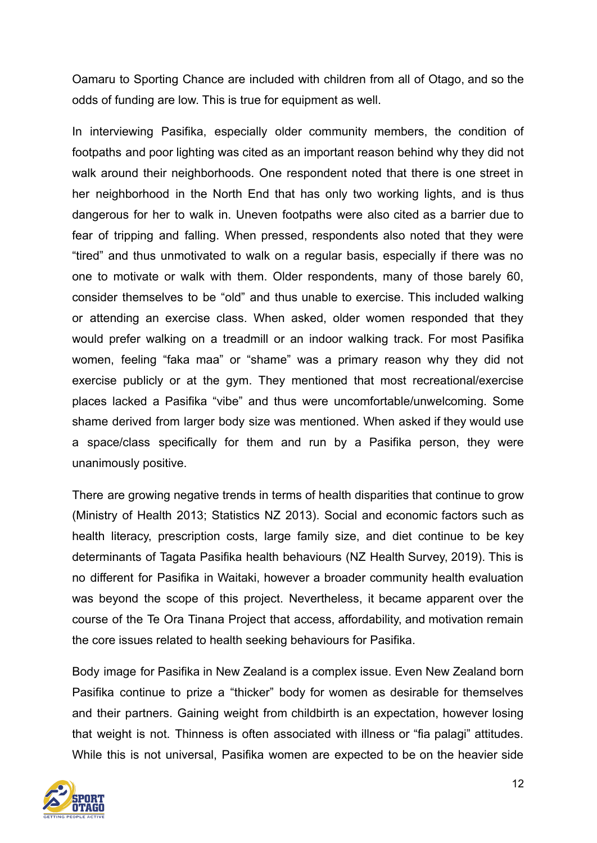Oamaru to Sporting Chance are included with children from all of Otago, and so the odds of funding are low. This is true for equipment as well.

In interviewing Pasifika, especially older community members, the condition of footpaths and poor lighting was cited as an important reason behind why they did not walk around their neighborhoods. One respondent noted that there is one street in her neighborhood in the North End that has only two working lights, and is thus dangerous for her to walk in. Uneven footpaths were also cited as a barrier due to fear of tripping and falling. When pressed, respondents also noted that they were "tired" and thus unmotivated to walk on a regular basis, especially if there was no one to motivate or walk with them. Older respondents, many of those barely 60, consider themselves to be "old" and thus unable to exercise. This included walking or attending an exercise class. When asked, older women responded that they would prefer walking on a treadmill or an indoor walking track. For most Pasifika women, feeling "faka maa" or "shame" was a primary reason why they did not exercise publicly or at the gym. They mentioned that most recreational/exercise places lacked a Pasifika "vibe" and thus were uncomfortable/unwelcoming. Some shame derived from larger body size was mentioned. When asked if they would use a space/class specifically for them and run by a Pasifika person, they were unanimously positive.

There are growing negative trends in terms of health disparities that continue to grow (Ministry of Health 2013; Statistics NZ 2013). Social and economic factors such as health literacy, prescription costs, large family size, and diet continue to be key determinants of Tagata Pasifika health behaviours (NZ Health Survey, 2019). This is no different for Pasifika in Waitaki, however a broader community health evaluation was beyond the scope of this project. Nevertheless, it became apparent over the course of the Te Ora Tinana Project that access, affordability, and motivation remain the core issues related to health seeking behaviours for Pasifika.

Body image for Pasifika in New Zealand is a complex issue. Even New Zealand born Pasifika continue to prize a "thicker" body for women as desirable for themselves and their partners. Gaining weight from childbirth is an expectation, however losing that weight is not. Thinness is often associated with illness or "fia palagi" attitudes. While this is not universal, Pasifika women are expected to be on the heavier side

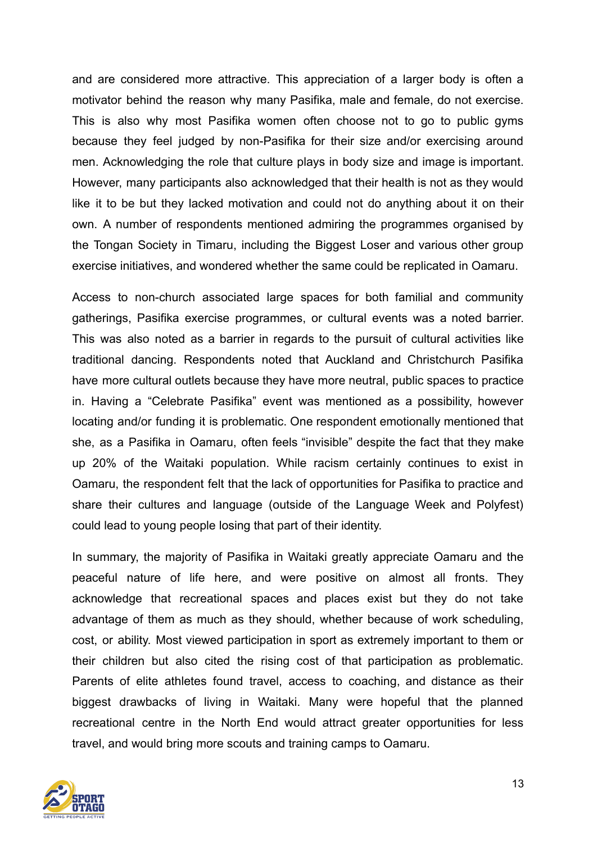and are considered more attractive. This appreciation of a larger body is often a motivator behind the reason why many Pasifika, male and female, do not exercise. This is also why most Pasifika women often choose not to go to public gyms because they feel judged by non-Pasifika for their size and/or exercising around men. Acknowledging the role that culture plays in body size and image is important. However, many participants also acknowledged that their health is not as they would like it to be but they lacked motivation and could not do anything about it on their own. A number of respondents mentioned admiring the programmes organised by the Tongan Society in Timaru, including the Biggest Loser and various other group exercise initiatives, and wondered whether the same could be replicated in Oamaru.

Access to non-church associated large spaces for both familial and community gatherings, Pasifika exercise programmes, or cultural events was a noted barrier. This was also noted as a barrier in regards to the pursuit of cultural activities like traditional dancing. Respondents noted that Auckland and Christchurch Pasifika have more cultural outlets because they have more neutral, public spaces to practice in. Having a "Celebrate Pasifika" event was mentioned as a possibility, however locating and/or funding it is problematic. One respondent emotionally mentioned that she, as a Pasifika in Oamaru, often feels "invisible" despite the fact that they make up 20% of the Waitaki population. While racism certainly continues to exist in Oamaru, the respondent felt that the lack of opportunities for Pasifika to practice and share their cultures and language (outside of the Language Week and Polyfest) could lead to young people losing that part of their identity.

In summary, the majority of Pasifika in Waitaki greatly appreciate Oamaru and the peaceful nature of life here, and were positive on almost all fronts. They acknowledge that recreational spaces and places exist but they do not take advantage of them as much as they should, whether because of work scheduling, cost, or ability. Most viewed participation in sport as extremely important to them or their children but also cited the rising cost of that participation as problematic. Parents of elite athletes found travel, access to coaching, and distance as their biggest drawbacks of living in Waitaki. Many were hopeful that the planned recreational centre in the North End would attract greater opportunities for less travel, and would bring more scouts and training camps to Oamaru.

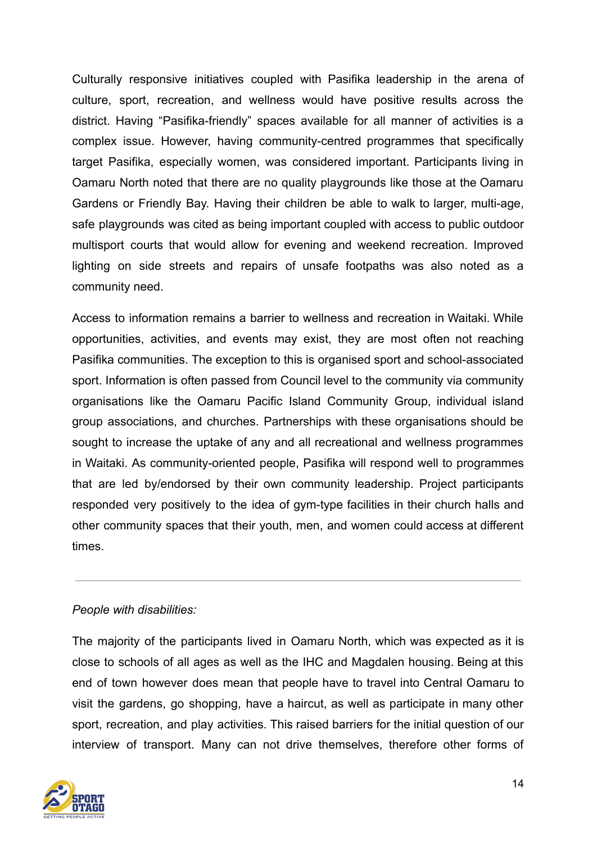Culturally responsive initiatives coupled with Pasifika leadership in the arena of culture, sport, recreation, and wellness would have positive results across the district. Having "Pasifika-friendly" spaces available for all manner of activities is a complex issue. However, having community-centred programmes that specifically target Pasifika, especially women, was considered important. Participants living in Oamaru North noted that there are no quality playgrounds like those at the Oamaru Gardens or Friendly Bay. Having their children be able to walk to larger, multi-age, safe playgrounds was cited as being important coupled with access to public outdoor multisport courts that would allow for evening and weekend recreation. Improved lighting on side streets and repairs of unsafe footpaths was also noted as a community need.

Access to information remains a barrier to wellness and recreation in Waitaki. While opportunities, activities, and events may exist, they are most often not reaching Pasifika communities. The exception to this is organised sport and school-associated sport. Information is often passed from Council level to the community via community organisations like the Oamaru Pacific Island Community Group, individual island group associations, and churches. Partnerships with these organisations should be sought to increase the uptake of any and all recreational and wellness programmes in Waitaki. As community-oriented people, Pasifika will respond well to programmes that are led by/endorsed by their own community leadership. Project participants responded very positively to the idea of gym-type facilities in their church halls and other community spaces that their youth, men, and women could access at different times.

#### *People with disabilities:*

The majority of the participants lived in Oamaru North, which was expected as it is close to schools of all ages as well as the IHC and Magdalen housing. Being at this end of town however does mean that people have to travel into Central Oamaru to visit the gardens, go shopping, have a haircut, as well as participate in many other sport, recreation, and play activities. This raised barriers for the initial question of our interview of transport. Many can not drive themselves, therefore other forms of

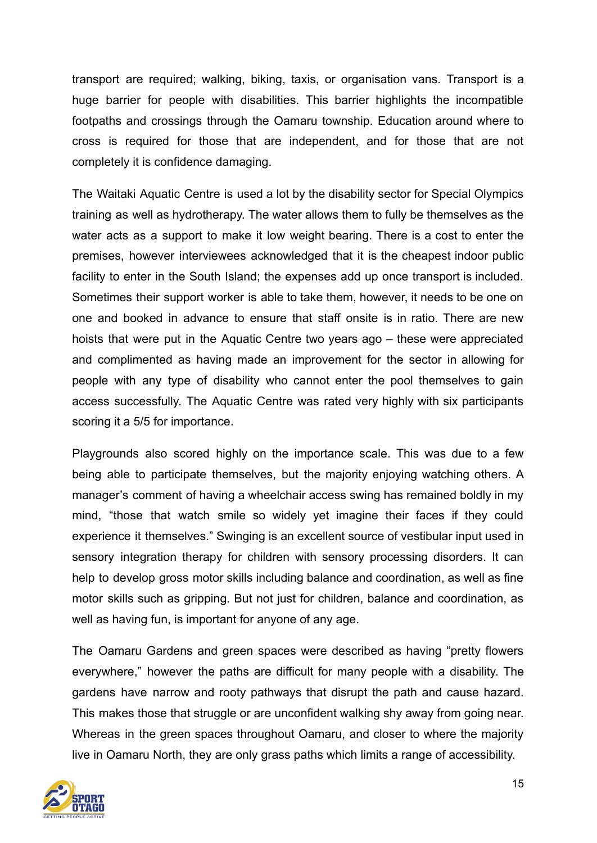transport are required; walking, biking, taxis, or organisation vans. Transport is a huge barrier for people with disabilities. This barrier highlights the incompatible footpaths and crossings through the Oamaru township. Education around where to cross is required for those that are independent, and for those that are not completely it is confidence damaging.

The Waitaki Aquatic Centre is used a lot by the disability sector for Special Olympics training as well as hydrotherapy. The water allows them to fully be themselves as the water acts as a support to make it low weight bearing. There is a cost to enter the premises, however interviewees acknowledged that it is the cheapest indoor public facility to enter in the South Island; the expenses add up once transport is included. Sometimes their support worker is able to take them, however, it needs to be one on one and booked in advance to ensure that staff onsite is in ratio. There are new hoists that were put in the Aquatic Centre two years ago – these were appreciated and complimented as having made an improvement for the sector in allowing for people with any type of disability who cannot enter the pool themselves to gain access successfully. The Aquatic Centre was rated very highly with six participants scoring it a 5/5 for importance.

Playgrounds also scored highly on the importance scale. This was due to a few being able to participate themselves, but the majority enjoying watching others. A manager's comment of having a wheelchair access swing has remained boldly in my mind, "those that watch smile so widely yet imagine their faces if they could experience it themselves." Swinging is an excellent source of vestibular input used in sensory integration therapy for children with sensory processing disorders. It can help to develop gross motor skills including balance and coordination, as well as fine motor skills such as gripping. But not just for children, balance and coordination, as well as having fun, is important for anyone of any age.

The Oamaru Gardens and green spaces were described as having "pretty flowers everywhere," however the paths are difficult for many people with a disability. The gardens have narrow and rooty pathways that disrupt the path and cause hazard. This makes those that struggle or are unconfident walking shy away from going near. Whereas in the green spaces throughout Oamaru, and closer to where the majority live in Oamaru North, they are only grass paths which limits a range of accessibility.

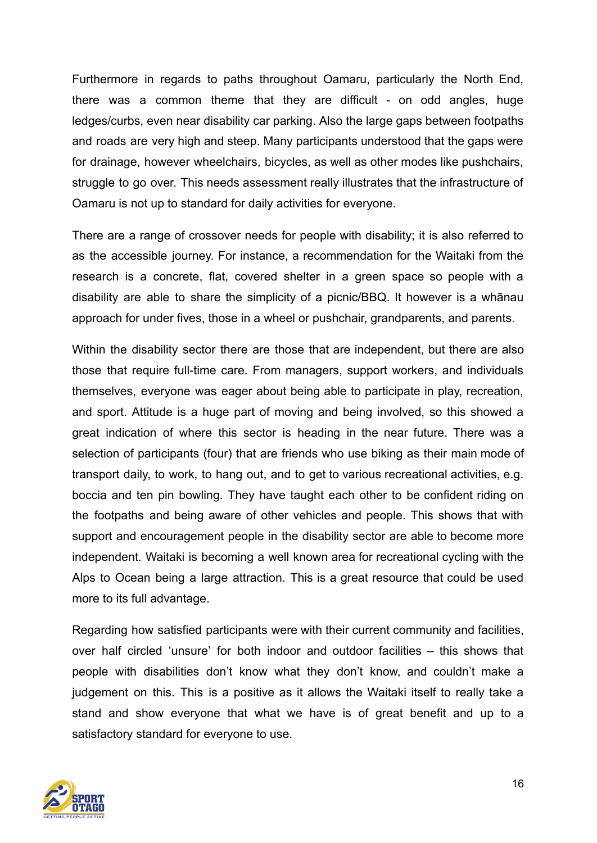Furthermore in regards to paths throughout Oamaru, particularly the North End, there was a common theme that they are difficult - on odd angles, huge ledges/curbs, even near disability car parking. Also the large gaps between footpaths and roads are very high and steep. Many participants understood that the gaps were for drainage, however wheelchairs, bicycles, as well as other modes like pushchairs, struggle to go over. This needs assessment really illustrates that the infrastructure of Oamaru is not up to standard for daily activities for everyone.

There are a range of crossover needs for people with disability; it is also referred to as the accessible journey. For instance, a recommendation for the Waitaki from the research is a concrete, flat, covered shelter in a green space so people with a disability are able to share the simplicity of a picnic/BBQ. It however is a whānau approach for under fives, those in a wheel or pushchair, grandparents, and parents.

Within the disability sector there are those that are independent, but there are also those that require full-time care. From managers, support workers, and individuals themselves, everyone was eager about being able to participate in play, recreation, and sport. Attitude is a huge part of moving and being involved, so this showed a great indication of where this sector is heading in the near future. There was a selection of participants (four) that are friends who use biking as their main mode of transport daily, to work, to hang out, and to get to various recreational activities, e.g. boccia and ten pin bowling. They have taught each other to be confident riding on the footpaths and being aware of other vehicles and people. This shows that with support and encouragement people in the disability sector are able to become more independent. Waitaki is becoming a well known area for recreational cycling with the Alps to Ocean being a large attraction. This is a great resource that could be used more to its full advantage.

Regarding how satisfied participants were with their current community and facilities, over half circled 'unsure' for both indoor and outdoor facilities – this shows that people with disabilities don't know what they don't know, and couldn't make a judgement on this. This is a positive as it allows the Waitaki itself to really take a stand and show everyone that what we have is of great benefit and up to a satisfactory standard for everyone to use.

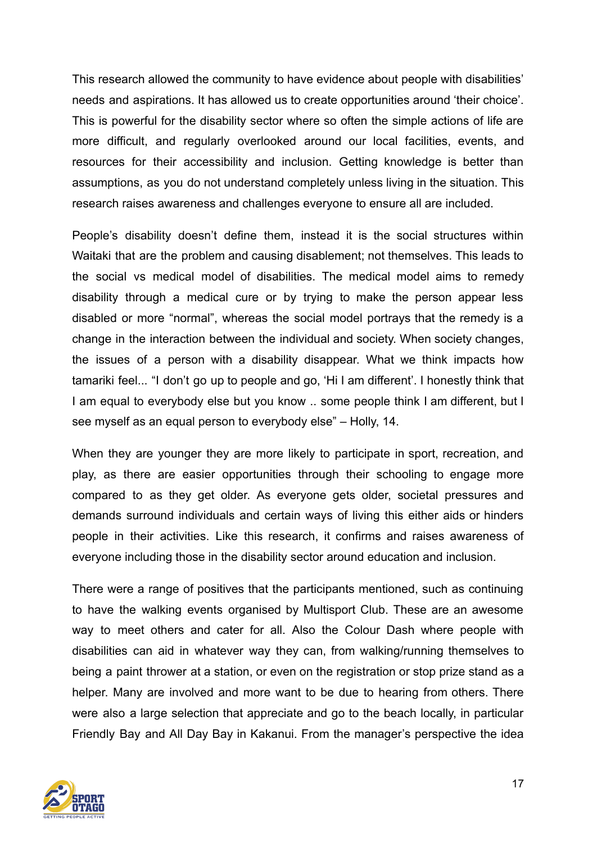This research allowed the community to have evidence about people with disabilities' needs and aspirations. It has allowed us to create opportunities around 'their choice'. This is powerful for the disability sector where so often the simple actions of life are more difficult, and regularly overlooked around our local facilities, events, and resources for their accessibility and inclusion. Getting knowledge is better than assumptions, as you do not understand completely unless living in the situation. This research raises awareness and challenges everyone to ensure all are included.

People's disability doesn't define them, instead it is the social structures within Waitaki that are the problem and causing disablement; not themselves. This leads to the social vs medical model of disabilities. The medical model aims to remedy disability through a medical cure or by trying to make the person appear less disabled or more "normal", whereas the social model portrays that the remedy is a change in the interaction between the individual and society. When society changes, the issues of a person with a disability disappear. What we think impacts how tamariki feel... "I don't go up to people and go, 'Hi I am different'. I honestly think that I am equal to everybody else but you know .. some people think I am different, but I see myself as an equal person to everybody else" – Holly, 14.

When they are younger they are more likely to participate in sport, recreation, and play, as there are easier opportunities through their schooling to engage more compared to as they get older. As everyone gets older, societal pressures and demands surround individuals and certain ways of living this either aids or hinders people in their activities. Like this research, it confirms and raises awareness of everyone including those in the disability sector around education and inclusion.

There were a range of positives that the participants mentioned, such as continuing to have the walking events organised by Multisport Club. These are an awesome way to meet others and cater for all. Also the Colour Dash where people with disabilities can aid in whatever way they can, from walking/running themselves to being a paint thrower at a station, or even on the registration or stop prize stand as a helper. Many are involved and more want to be due to hearing from others. There were also a large selection that appreciate and go to the beach locally, in particular Friendly Bay and All Day Bay in Kakanui. From the manager's perspective the idea

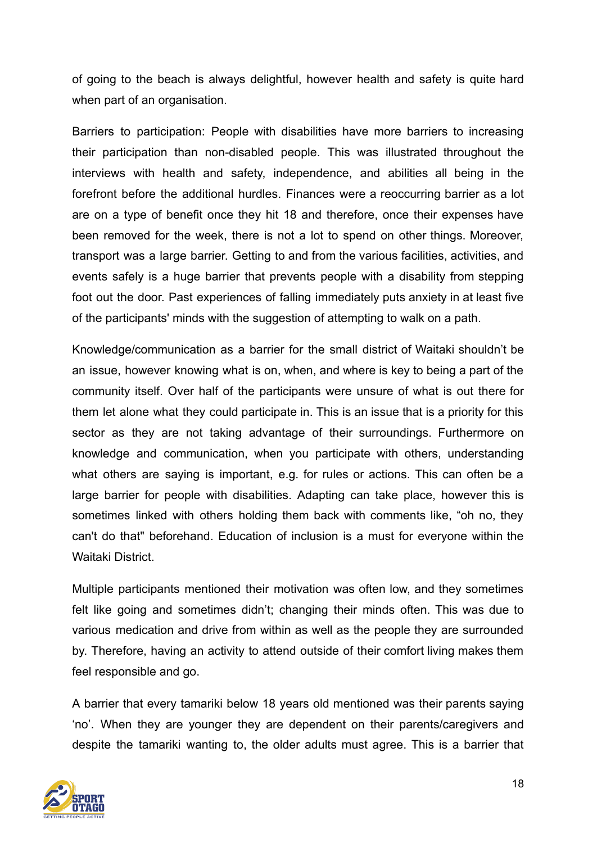of going to the beach is always delightful, however health and safety is quite hard when part of an organisation.

Barriers to participation: People with disabilities have more barriers to increasing their participation than non-disabled people. This was illustrated throughout the interviews with health and safety, independence, and abilities all being in the forefront before the additional hurdles. Finances were a reoccurring barrier as a lot are on a type of benefit once they hit 18 and therefore, once their expenses have been removed for the week, there is not a lot to spend on other things. Moreover, transport was a large barrier. Getting to and from the various facilities, activities, and events safely is a huge barrier that prevents people with a disability from stepping foot out the door. Past experiences of falling immediately puts anxiety in at least five of the participants' minds with the suggestion of attempting to walk on a path.

Knowledge/communication as a barrier for the small district of Waitaki shouldn't be an issue, however knowing what is on, when, and where is key to being a part of the community itself. Over half of the participants were unsure of what is out there for them let alone what they could participate in. This is an issue that is a priority for this sector as they are not taking advantage of their surroundings. Furthermore on knowledge and communication, when you participate with others, understanding what others are saying is important, e.g. for rules or actions. This can often be a large barrier for people with disabilities. Adapting can take place, however this is sometimes linked with others holding them back with comments like, "oh no, they can't do that" beforehand. Education of inclusion is a must for everyone within the Waitaki District.

Multiple participants mentioned their motivation was often low, and they sometimes felt like going and sometimes didn't; changing their minds often. This was due to various medication and drive from within as well as the people they are surrounded by. Therefore, having an activity to attend outside of their comfort living makes them feel responsible and go.

A barrier that every tamariki below 18 years old mentioned was their parents saying 'no'. When they are younger they are dependent on their parents/caregivers and despite the tamariki wanting to, the older adults must agree. This is a barrier that

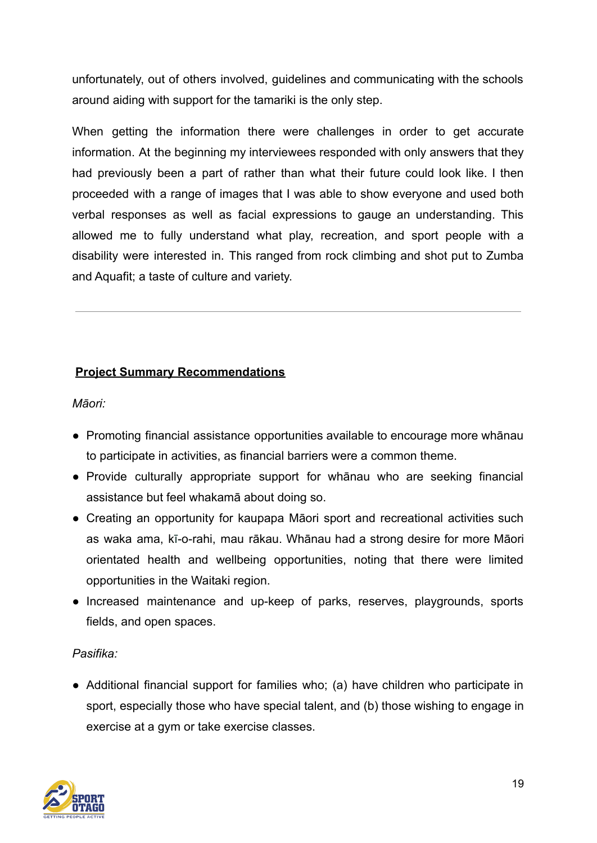unfortunately, out of others involved, guidelines and communicating with the schools around aiding with support for the tamariki is the only step.

When getting the information there were challenges in order to get accurate information. At the beginning my interviewees responded with only answers that they had previously been a part of rather than what their future could look like. I then proceeded with a range of images that I was able to show everyone and used both verbal responses as well as facial expressions to gauge an understanding. This allowed me to fully understand what play, recreation, and sport people with a disability were interested in. This ranged from rock climbing and shot put to Zumba and Aquafit; a taste of culture and variety.

# **Project Summary Recommendations**

*Māori:*

- Promoting financial assistance opportunities available to encourage more whānau to participate in activities, as financial barriers were a common theme.
- Provide culturally appropriate support for whānau who are seeking financial assistance but feel whakamā about doing so.
- Creating an opportunity for kaupapa Māori sport and recreational activities such as waka ama, kī-o-rahi, mau rākau. Whānau had a strong desire for more Māori orientated health and wellbeing opportunities, noting that there were limited opportunities in the Waitaki region.
- Increased maintenance and up-keep of parks, reserves, playgrounds, sports fields, and open spaces.

### *Pasifika:*

● Additional financial support for families who; (a) have children who participate in sport, especially those who have special talent, and (b) those wishing to engage in exercise at a gym or take exercise classes.

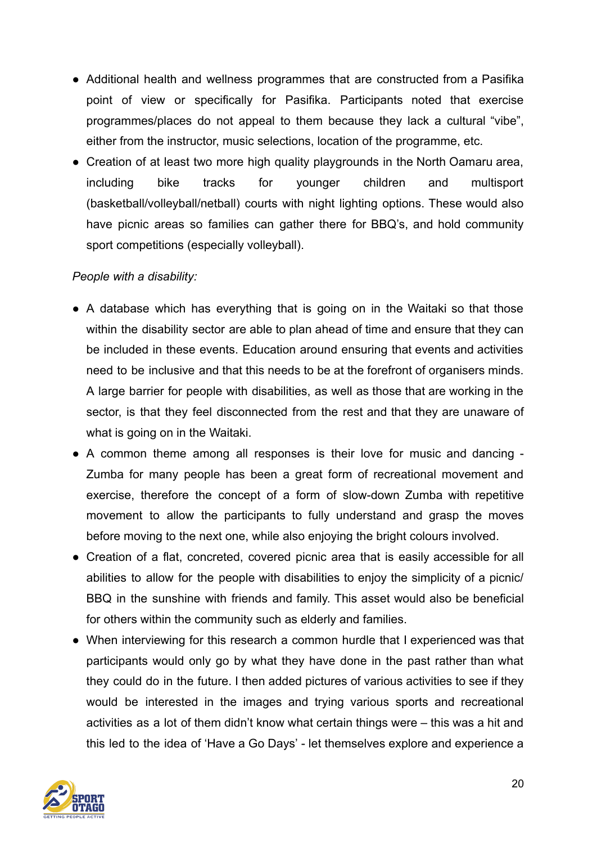- Additional health and wellness programmes that are constructed from a Pasifika point of view or specifically for Pasifika. Participants noted that exercise programmes/places do not appeal to them because they lack a cultural "vibe", either from the instructor, music selections, location of the programme, etc.
- Creation of at least two more high quality playgrounds in the North Oamaru area, including bike tracks for younger children and multisport (basketball/volleyball/netball) courts with night lighting options. These would also have picnic areas so families can gather there for BBQ's, and hold community sport competitions (especially volleyball).

# *People with a disability:*

- A database which has everything that is going on in the Waitaki so that those within the disability sector are able to plan ahead of time and ensure that they can be included in these events. Education around ensuring that events and activities need to be inclusive and that this needs to be at the forefront of organisers minds. A large barrier for people with disabilities, as well as those that are working in the sector, is that they feel disconnected from the rest and that they are unaware of what is going on in the Waitaki.
- A common theme among all responses is their love for music and dancing -Zumba for many people has been a great form of recreational movement and exercise, therefore the concept of a form of slow-down Zumba with repetitive movement to allow the participants to fully understand and grasp the moves before moving to the next one, while also enjoying the bright colours involved.
- Creation of a flat, concreted, covered picnic area that is easily accessible for all abilities to allow for the people with disabilities to enjoy the simplicity of a picnic/ BBQ in the sunshine with friends and family. This asset would also be beneficial for others within the community such as elderly and families.
- When interviewing for this research a common hurdle that I experienced was that participants would only go by what they have done in the past rather than what they could do in the future. I then added pictures of various activities to see if they would be interested in the images and trying various sports and recreational activities as a lot of them didn't know what certain things were – this was a hit and this led to the idea of 'Have a Go Days' - let themselves explore and experience a

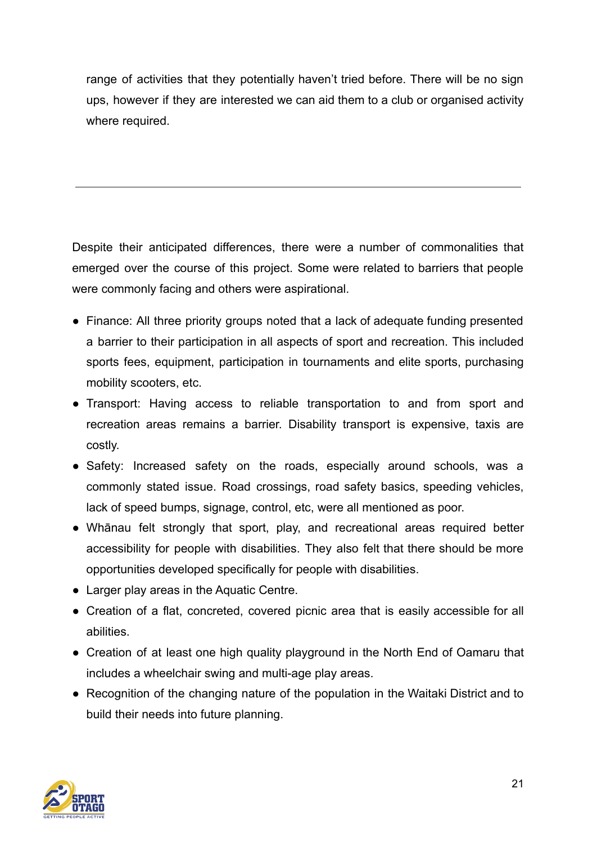range of activities that they potentially haven't tried before. There will be no sign ups, however if they are interested we can aid them to a club or organised activity where required.

Despite their anticipated differences, there were a number of commonalities that emerged over the course of this project. Some were related to barriers that people were commonly facing and others were aspirational.

- Finance: All three priority groups noted that a lack of adequate funding presented a barrier to their participation in all aspects of sport and recreation. This included sports fees, equipment, participation in tournaments and elite sports, purchasing mobility scooters, etc.
- Transport: Having access to reliable transportation to and from sport and recreation areas remains a barrier. Disability transport is expensive, taxis are costly.
- Safety: Increased safety on the roads, especially around schools, was a commonly stated issue. Road crossings, road safety basics, speeding vehicles, lack of speed bumps, signage, control, etc, were all mentioned as poor.
- Whānau felt strongly that sport, play, and recreational areas required better accessibility for people with disabilities. They also felt that there should be more opportunities developed specifically for people with disabilities.
- Larger play areas in the Aquatic Centre.
- Creation of a flat, concreted, covered picnic area that is easily accessible for all abilities.
- Creation of at least one high quality playground in the North End of Oamaru that includes a wheelchair swing and multi-age play areas.
- Recognition of the changing nature of the population in the Waitaki District and to build their needs into future planning.